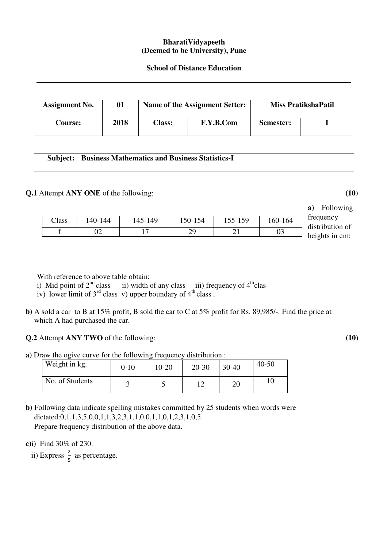## **BharatiVidyapeeth (Deemed to be University), Pune**

## **School of Distance Education**

| <b>Assignment No.</b> | 01   |               | Name of the Assignment Setter: | <b>Miss PratikshaPatil</b> |  |
|-----------------------|------|---------------|--------------------------------|----------------------------|--|
| <b>Course:</b>        | 2018 | <b>Class:</b> | F.Y.B.Com                      | Semester:                  |  |

| <b>Subject:   Business Mathematics and Business Statistics-I</b> |
|------------------------------------------------------------------|
|                                                                  |

## **Q.1** Attempt **ANY ONE** of the following: **(10)**

**a)** Following frequency distribution of heights in cm:

With reference to above table obtain:

i) Mid point of  $2<sup>nd</sup>$  class iii) width of any class iii) frequency of  $4<sup>th</sup>$ clas

iv) lower limit of  $3<sup>rd</sup>$  class v) upper boundary of  $4<sup>th</sup>$  class .

**b)** A sold a car to B at 15% profit, B sold the car to C at 5% profit for Rs. 89,985/-. Find the price at which A had purchased the car.

Class | 140-144 | 145-149 | 150-154 | 155-159 | 160-164 f | 02 | 17 | 29 | 21 | 03

**Q.2** Attempt **ANY TWO** of the following: **(10)** 

**a)** Draw the ogive curve for the following frequency distribution :

| Weight in kg.   | $0 - 10$ | 10-20 | $20-30$ | $30 - 40$ | $40 - 50$ |
|-----------------|----------|-------|---------|-----------|-----------|
| No. of Students |          |       | 1 0     | 20        |           |

**b)** Following data indicate spelling mistakes committed by 25 students when words were dictated:0,1,1,3,5,0,0,1,1,3,2,3,1,1,0,0,1,1,0,1,2,3,1,0,5. Prepare frequency distribution of the above data.

**c)**i) Find 30% of 230.

ii) Express  $\frac{2}{5}$  as percentage.